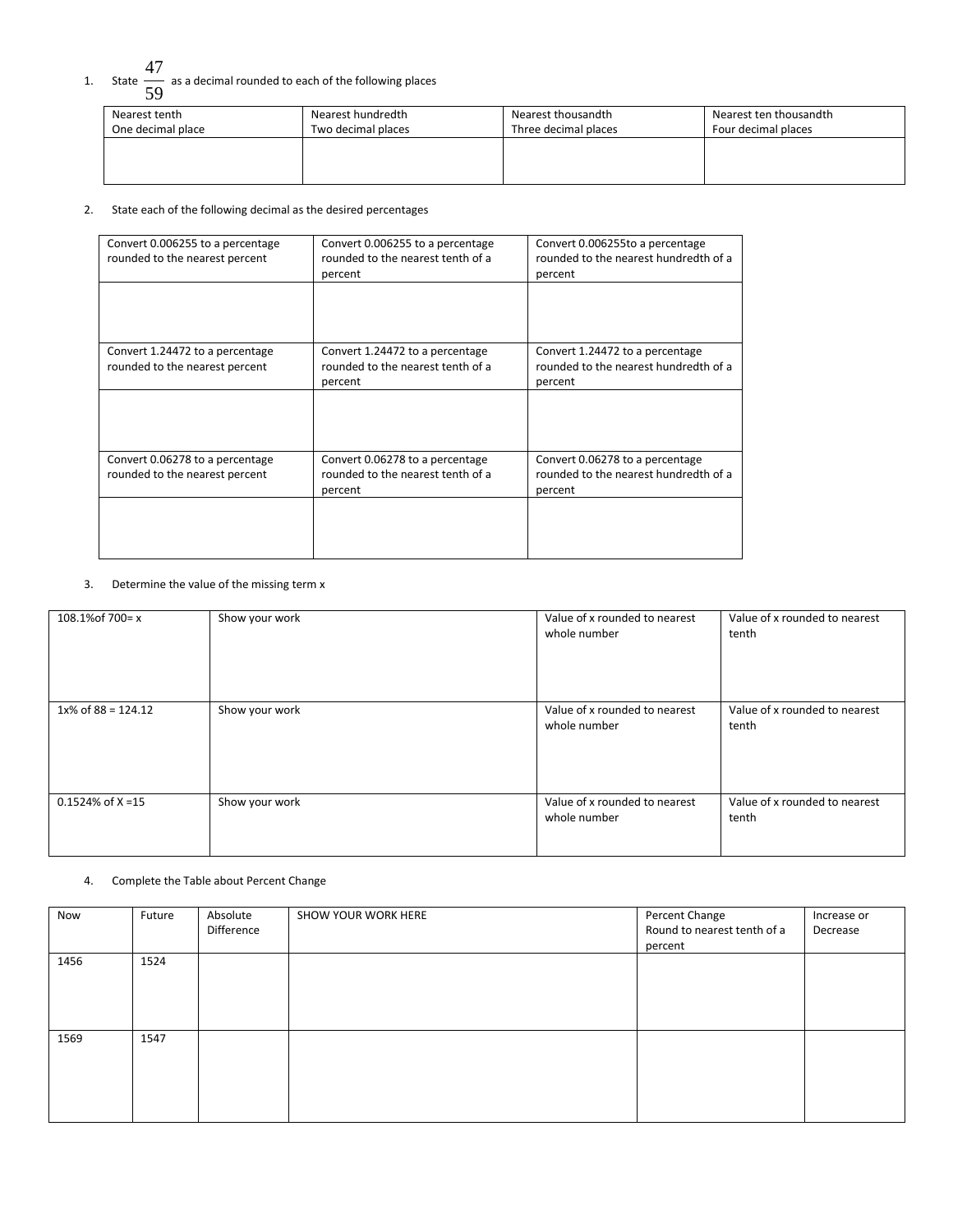# 1. State  $\frac{47}{1}$  $\overline{59}$  as a decimal rounded to each of the following places

| Nearest tenth     | Nearest hundredth  | Nearest thousandth   | Nearest ten thousandth |
|-------------------|--------------------|----------------------|------------------------|
| One decimal place | Two decimal places | Three decimal places | Four decimal places    |
|                   |                    |                      |                        |

#### 2. State each of the following decimal as the desired percentages

| Convert 0.006255 to a percentage<br>rounded to the nearest percent | Convert 0.006255 to a percentage<br>rounded to the nearest tenth of a<br>percent | Convert 0.006255to a percentage<br>rounded to the nearest hundredth of a<br>percent |
|--------------------------------------------------------------------|----------------------------------------------------------------------------------|-------------------------------------------------------------------------------------|
|                                                                    |                                                                                  |                                                                                     |
| Convert 1.24472 to a percentage<br>rounded to the nearest percent  | Convert 1.24472 to a percentage<br>rounded to the nearest tenth of a<br>percent  | Convert 1.24472 to a percentage<br>rounded to the nearest hundredth of a<br>percent |
|                                                                    |                                                                                  |                                                                                     |
| Convert 0.06278 to a percentage<br>rounded to the nearest percent  | Convert 0.06278 to a percentage<br>rounded to the nearest tenth of a<br>percent  | Convert 0.06278 to a percentage<br>rounded to the nearest hundredth of a<br>percent |
|                                                                    |                                                                                  |                                                                                     |

### 3. Determine the value of the missing term x

| 108.1% of 700 = x     | Show your work | Value of x rounded to nearest<br>whole number | Value of x rounded to nearest<br>tenth |
|-----------------------|----------------|-----------------------------------------------|----------------------------------------|
| $1x\%$ of 88 = 124.12 | Show your work | Value of x rounded to nearest<br>whole number | Value of x rounded to nearest<br>tenth |
| $0.1524\%$ of X =15   | Show your work | Value of x rounded to nearest<br>whole number | Value of x rounded to nearest<br>tenth |

## 4. Complete the Table about Percent Change

| Now  | Future | Absolute<br>Difference | SHOW YOUR WORK HERE | Percent Change<br>Round to nearest tenth of a<br>percent | Increase or<br>Decrease |
|------|--------|------------------------|---------------------|----------------------------------------------------------|-------------------------|
| 1456 | 1524   |                        |                     |                                                          |                         |
| 1569 | 1547   |                        |                     |                                                          |                         |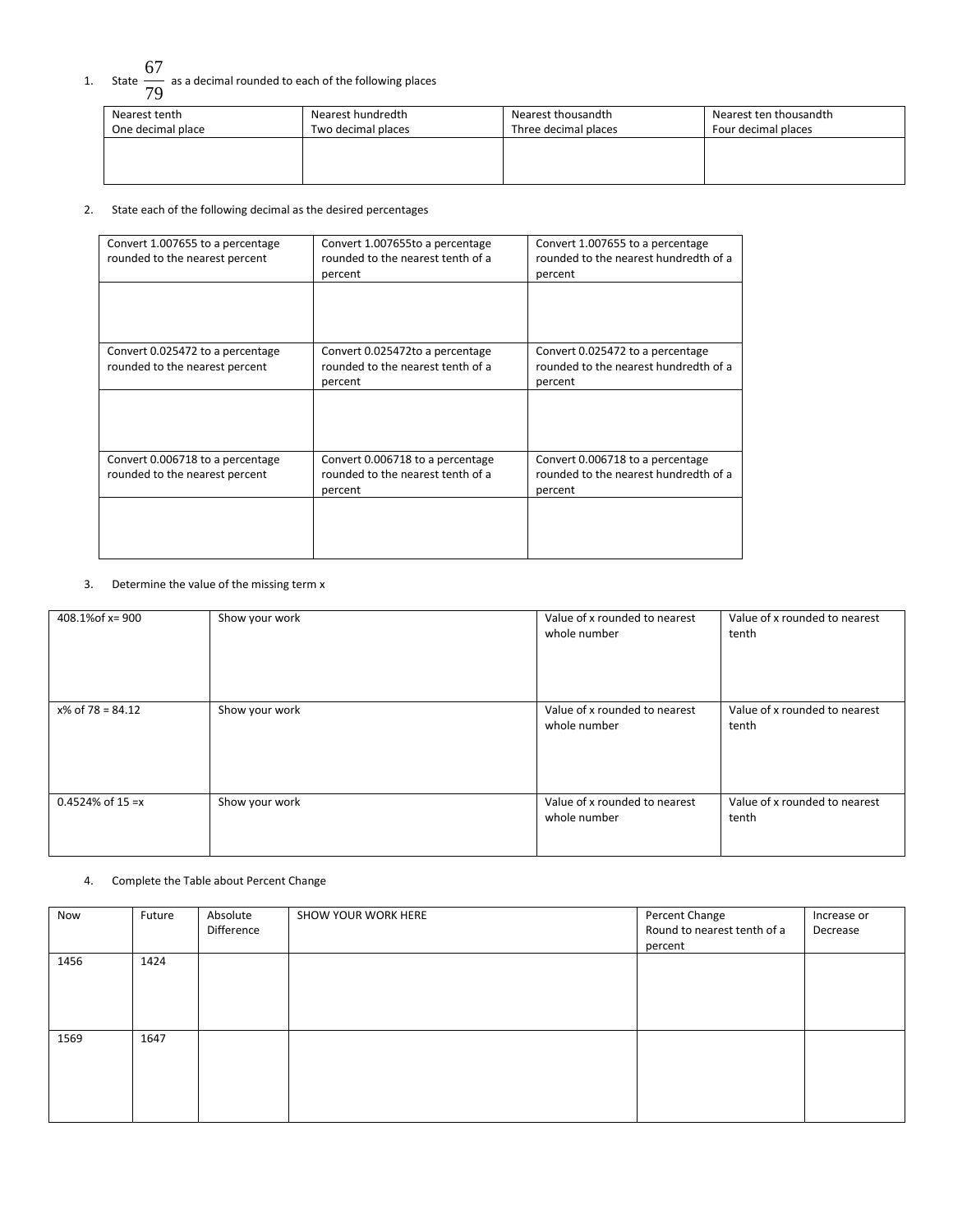# 1. State  $\frac{67}{11}$  $\overline{79}$  as a decimal rounded to each of the following places

| Nearest tenth     | Nearest hundredth  | Nearest thousandth   | Nearest ten thousandth |
|-------------------|--------------------|----------------------|------------------------|
| One decimal place | Two decimal places | Three decimal places | Four decimal places    |
|                   |                    |                      |                        |

#### 2. State each of the following decimal as the desired percentages

| Convert 1.007655 to a percentage<br>rounded to the nearest percent | Convert 1.007655to a percentage<br>rounded to the nearest tenth of a<br>percent  | Convert 1.007655 to a percentage<br>rounded to the nearest hundredth of a<br>percent |
|--------------------------------------------------------------------|----------------------------------------------------------------------------------|--------------------------------------------------------------------------------------|
|                                                                    |                                                                                  |                                                                                      |
| Convert 0.025472 to a percentage<br>rounded to the nearest percent | Convert 0.025472to a percentage<br>rounded to the nearest tenth of a<br>percent  | Convert 0.025472 to a percentage<br>rounded to the nearest hundredth of a<br>percent |
|                                                                    |                                                                                  |                                                                                      |
| Convert 0.006718 to a percentage<br>rounded to the nearest percent | Convert 0.006718 to a percentage<br>rounded to the nearest tenth of a<br>percent | Convert 0.006718 to a percentage<br>rounded to the nearest hundredth of a<br>percent |
|                                                                    |                                                                                  |                                                                                      |

### 3. Determine the value of the missing term x

| 408.1% of x= 900    | Show your work | Value of x rounded to nearest<br>whole number | Value of x rounded to nearest<br>tenth |
|---------------------|----------------|-----------------------------------------------|----------------------------------------|
| $x\%$ of 78 = 84.12 | Show your work | Value of x rounded to nearest<br>whole number | Value of x rounded to nearest<br>tenth |
| $0.4524\%$ of 15 =x | Show your work | Value of x rounded to nearest<br>whole number | Value of x rounded to nearest<br>tenth |

## 4. Complete the Table about Percent Change

| Now  | Future | Absolute<br>Difference | SHOW YOUR WORK HERE | Percent Change<br>Round to nearest tenth of a<br>percent | Increase or<br>Decrease |
|------|--------|------------------------|---------------------|----------------------------------------------------------|-------------------------|
| 1456 | 1424   |                        |                     |                                                          |                         |
| 1569 | 1647   |                        |                     |                                                          |                         |